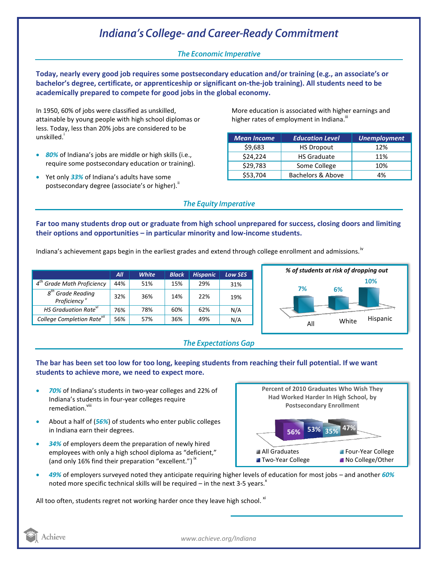## **Indiana's College- and Career-Ready Commitment**

### **The Economic Imperative**

**Today, nearly every good job requires some postsecondary education and/or training (e.g., an associate's or bachelor's degree, certificate, or apprenticeship or significant on-the-job training). All students need to be academically prepared to compete for good jobs in the global economy.**

In 1950, 60% of jobs were classified as unskilled, attainable by young people with high school diplomas or less. Today, less than 20% jobs are considered to be unskilled.<sup>'</sup>

- *80%* of Indiana's jobs are middle or high skills (i.e., require some postsecondary education or training).
- Yet only *33%* of Indiana's adults have some postsecondary degree (associate's or higher).<sup>"</sup>

More education is associated with higher earnings and higher rates of employment in Indiana.<sup>""</sup>

| <b>Mean Income</b> | <b>Education Level</b> | Unemployment |
|--------------------|------------------------|--------------|
| \$9,683            | <b>HS Dropout</b>      | 12%          |
| \$24,224           | <b>HS Graduate</b>     | 11%          |
| \$29,783           | Some College           | 10%          |
| \$53,704           | Bachelors & Above      | 4%           |

#### **The Equity Imperative**

**Far too many students drop out or graduate from high school unprepared for success, closing doors and limiting their options and opportunities – in particular minority and low-income students.** 

Indiana's achievement gaps begin in the earliest grades and extend through college enrollment and admissions.<sup>iv</sup>

|                                                                    | All | <b>White</b> | <b>Black</b> | <b>Hispanic</b> | <b>Low SES</b> |
|--------------------------------------------------------------------|-----|--------------|--------------|-----------------|----------------|
| $4^{tn}$<br><b>Grade Math Proficiency</b>                          | 44% | 51%          | 15%          | 29%             | 31%            |
| $g^{th}$<br><sup>'</sup> Grade Readina<br>Proficiency <sup>v</sup> | 32% | 36%          | 14%          | 22%             | 19%            |
| HS Graduation Rate <sup>vi</sup>                                   | 76% | 78%          | 60%          | 62%             | N/A            |
| College Completion Rate <sup>vii</sup>                             | 56% | 57%          | 36%          | 49%             | N/A            |



#### **The Expectations Gap**

#### **The bar has been set too low for too long, keeping students from reaching their full potential. If we want students to achieve more, we need to expect more.**

- *70%* of Indiana's students in two-year colleges and 22% of Indiana's students in four-year colleges require remediation.<sup>viii</sup>
- About a half of (*56%*) of students who enter public colleges in Indiana earn their degrees.
- *34%* of employers deem the preparation of newly hired employees with only a high school diploma as "deficient," (and only 16% find their preparation "excellent.")<sup>ix</sup>



 *49%* of employers surveyed noted they anticipate requiring higher levels of education for most jobs – and another *60%*  noted more specific technical skills will be required – in the next 3-5 years. $^x$ 

All too often, students regret not working harder once they leave high school.  $^{xi}$ 



*www.achieve.org/Indiana*